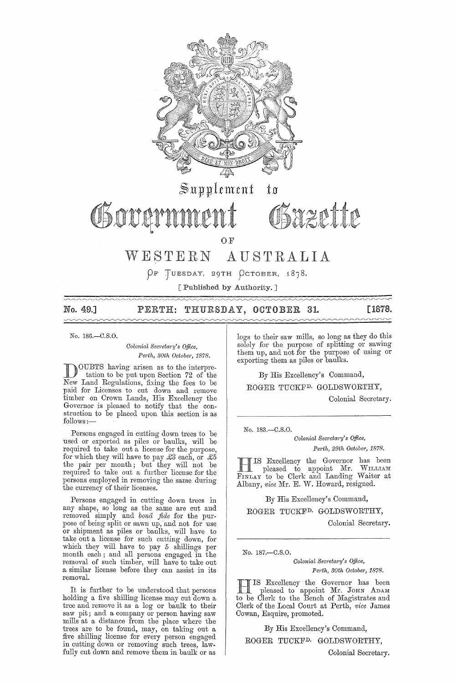

[Published by Authority.]

 $\sim$   $\sim$   $\sim$   $\sim$ 

## No. 49.] PERTH: THURSDAY, OCTOBER 31. [1878.

No. 186.-C.S.0.

*Colonial Secretary's Office, Pm·th, 30th Octobet, 1878.* 

DOUBTS having arisen as to the interpre-<br>tation to be put upon Section 72 of the<br>Norm Lord Besubtions fixing the fact to be New Land Regulations, fixing the fees to be paid for Licenses to cut down and remove timber on Crown Lands, His Excellency the Governor is pleased to notify that the construction to be placed upon this section is as follows:-

Persons engaged in cutting down trees to be nsed or exported as piles or baulks, will be required to take out a license for the purpose, for which they will have to pay  $\pounds 3$  each, or  $\pounds 5$ the pair per month; but they will not be required to take out a further license for the persons employed in removing the same during the currency of their licenses.

Persons engaged in cutting down trees in any shape, so long as the same are cut and removed simply and *bond fide* for the purpose of being split or sawn up, and not for use or shipment as piles or baulks, will have to take out a license for such cutting down, for which they will have to pay 5 shillings per month each; and all persons engaged in the removal of such timber, will have to take out a similar license before they can assist in its removal.

It is further to be understood that persons holding a five shilling license may cut down a tree and remove it as a log or baulk to their saw pit; and a company or person having saw mills at a distance from the place where the trees are to be found, may, on taking out a five shilling license for every person engaged in cutting down or removing such trees, lawfully cut down and remove them in baulk or as

logs to their saw mills, so long as they do this solelv for the purpose of splitting or sawing them up, and not for the purpose of using or exporting them as piles or baulks.

 $\sim\sim\sim\sim\sim\sim$ 

By His Excellency's Command,

ROGER TUCKFD. GOLDSWORTHY,

Colonial Secretary.

No. 183.-C.8.0.

*Colonial Secnta1'Y's o.ffice, Perth, 29th October, 1878.* 

H IS Excellency the Governor has been<br>pleased to appoint Mr. WILLIAM FIN LAY to be Clerk and Landing Waiter at Albany, *vice* Mr. E. W. Howard, resigned.

By His Excellency's Command,

ROGER TUCKFD. GOLDSWORTHY,

Colonial Secretary.

No. 187 .- C.S.O.

*Colonial Sem'eta1'y's Office,*   $Perth, 30th$  October, 1878.

HIS Excellency the Governor has been<br>pleased to appoint Mr. JOHN ADAM to be Clerk to the Bench of Magistrates and Clerk of the Local COUTt at Perth, *vice* James Cowan, Esquire, promoted.

By His Excellency's Command,

ROGER TUCKFD. GOLDSWORTHY,

Colonial Secretary.